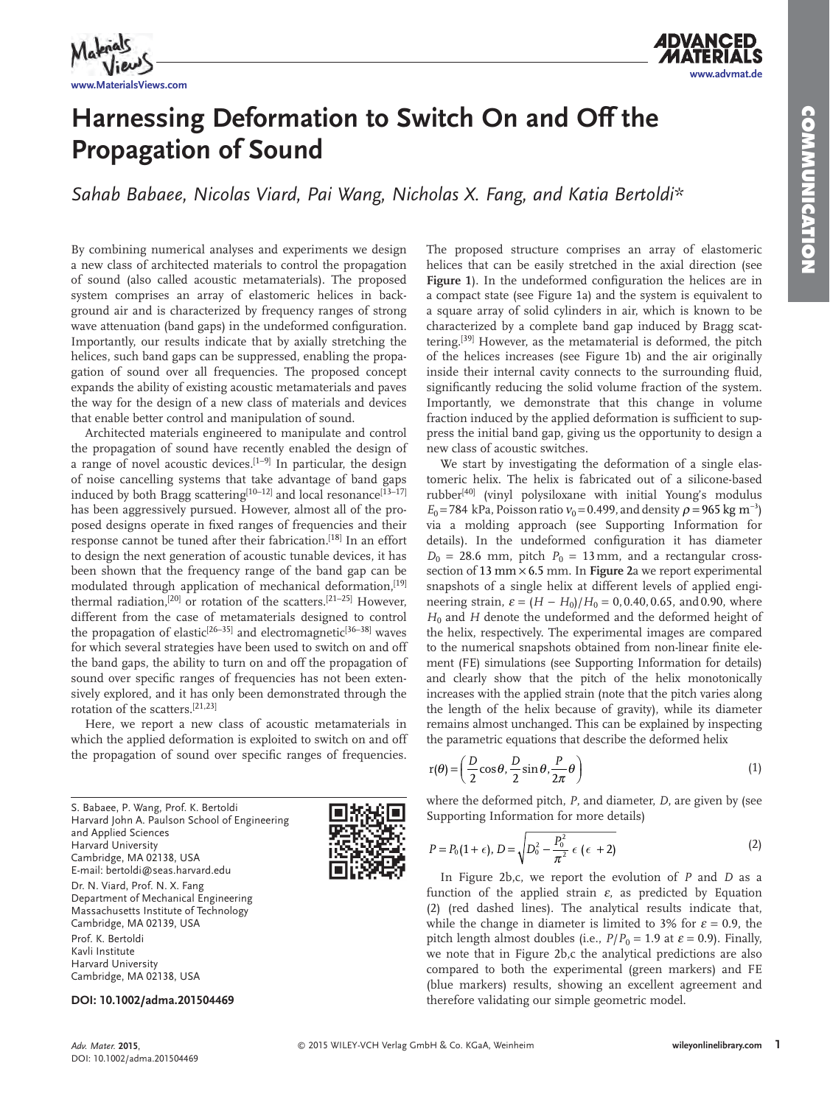

# **Harnessing Deformation to Switch On and Off the Propagation of Sound**

 *Sahab Babaee , Nicolas Viard , Pai Wang , Nicholas X. Fang , and Katia Bertoldi\** 

 By combining numerical analyses and experiments we design a new class of architected materials to control the propagation of sound (also called acoustic metamaterials). The proposed system comprises an array of elastomeric helices in background air and is characterized by frequency ranges of strong wave attenuation (band gaps) in the undeformed configuration. Importantly, our results indicate that by axially stretching the helices, such band gaps can be suppressed, enabling the propagation of sound over all frequencies. The proposed concept expands the ability of existing acoustic metamaterials and paves the way for the design of a new class of materials and devices that enable better control and manipulation of sound.

 Architected materials engineered to manipulate and control the propagation of sound have recently enabled the design of a range of novel acoustic devices.<sup>[1–9]</sup> In particular, the design of noise cancelling systems that take advantage of band gaps induced by both Bragg scattering  $[10-12]$  and local resonance  $[13-17]$ has been aggressively pursued. However, almost all of the proposed designs operate in fixed ranges of frequencies and their response cannot be tuned after their fabrication.<sup>[18]</sup> In an effort to design the next generation of acoustic tunable devices, it has been shown that the frequency range of the band gap can be modulated through application of mechanical deformation, [19] thermal radiation,  $[20]$  or rotation of the scatters.  $[21-25]$  However, different from the case of metamaterials designed to control the propagation of elastic<sup>[26–35]</sup> and electromagnetic<sup>[36–38]</sup> waves for which several strategies have been used to switch on and off the band gaps, the ability to turn on and off the propagation of sound over specific ranges of frequencies has not been extensively explored, and it has only been demonstrated through the rotation of the scatters.  $[21,23]$ 

 Here, we report a new class of acoustic metamaterials in which the applied deformation is exploited to switch on and off the propagation of sound over specific ranges of frequencies.

 S. Babaee, P. Wang, Prof. K. Bertoldi Harvard John A. Paulson School of Engineering and Applied Sciences Harvard University Cambridge, MA 02138, USA E-mail: bertoldi@seas.harvard.edu Dr. N. Viard, Prof. N. X. Fang Department of Mechanical Engineering Massachusetts Institute of Technology Cambridge, MA 02139, USA Prof. K. Bertoldi Kavli Institute Harvard University Cambridge, MA 02138, USA



The proposed structure comprises an array of elastomeric helices that can be easily stretched in the axial direction (see Figure 1). In the undeformed configuration the helices are in a compact state (see Figure 1a) and the system is equivalent to a square array of solid cylinders in air, which is known to be characterized by a complete band gap induced by Bragg scattering.<sup>[39]</sup> However, as the metamaterial is deformed, the pitch of the helices increases (see Figure 1b) and the air originally inside their internal cavity connects to the surrounding fluid, significantly reducing the solid volume fraction of the system. Importantly, we demonstrate that this change in volume fraction induced by the applied deformation is sufficient to suppress the initial band gap, giving us the opportunity to design a new class of acoustic switches.

We start by investigating the deformation of a single elastomeric helix. The helix is fabricated out of a silicone-based rubber<sup>[40]</sup> (vinyl polysiloxane with initial Young's modulus  $E_0$  = 784 kPa, Poisson ratio  $v_0$  = 0.499, and density  $\rho$  = 965 kg m<sup>-3</sup>) via a molding approach (see Supporting Information for details). In the undeformed configuration it has diameter  $D_0 = 28.6$  mm, pitch  $P_0 = 13$  mm, and a rectangular crosssection of 13 mm  $\times$  6.5 mm. In Figure 2a we report experimental snapshots of a single helix at different levels of applied engineering strain,  $\varepsilon = (H - H_0)/H_0 = 0, 0.40, 0.65, \text{ and } 0.90, \text{ where}$ *H*<sub>0</sub> and *H* denote the undeformed and the deformed height of the helix, respectively. The experimental images are compared to the numerical snapshots obtained from non-linear finite element (FE) simulations (see Supporting Information for details) and clearly show that the pitch of the helix monotonically increases with the applied strain (note that the pitch varies along the length of the helix because of gravity), while its diameter remains almost unchanged. This can be explained by inspecting the parametric equations that describe the deformed helix

$$
r(\theta) = \left(\frac{D}{2}\cos\theta, \frac{D}{2}\sin\theta, \frac{P}{2\pi}\theta\right)
$$
 (1)

where the deformed pitch, *P*, and diameter, *D*, are given by (see Supporting Information for more details)

$$
P = P_0(1 + \epsilon), D = \sqrt{D_0^2 - \frac{P_0^2}{\pi^2} \epsilon (\epsilon + 2)}
$$
 (2)

In Figure 2b,c, we report the evolution of *P* and *D* as a function of the applied strain  $\varepsilon$ , as predicted by Equation ( 2) (red dashed lines). The analytical results indicate that, while the change in diameter is limited to 3% for  $\varepsilon = 0.9$ , the pitch length almost doubles (i.e.,  $P/P_0 = 1.9$  at  $\varepsilon = 0.9$ ). Finally, we note that in Figure 2b,c the analytical predictions are also compared to both the experimental (green markers) and FE (blue markers) results, showing an excellent agreement and therefore validating our simple geometric model.

**DOI: 10.1002/adma.201504469**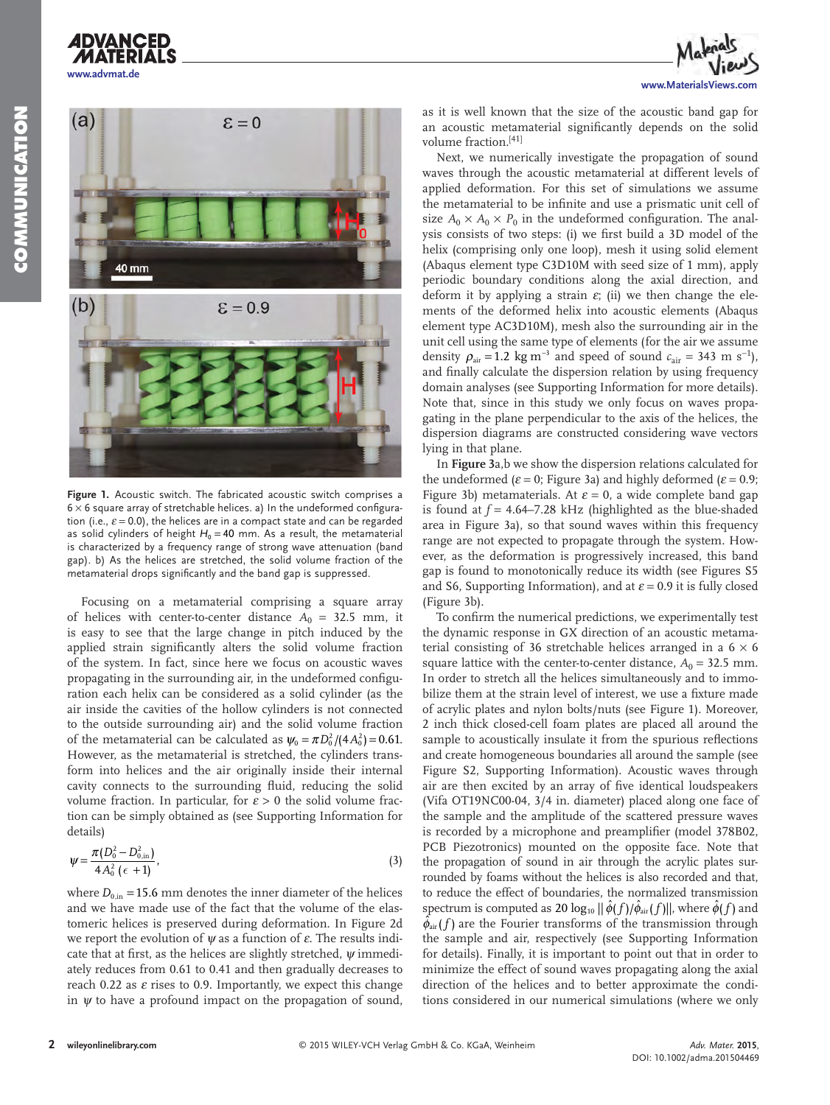

**www.advmat.de**

**ADVANCED** 



**Figure 1.** Acoustic switch. The fabricated acoustic switch comprises a  $6 \times 6$  square array of stretchable helices. a) In the undeformed configuration (i.e.,  $\varepsilon$  = 0.0), the helices are in a compact state and can be regarded as solid cylinders of height  $H_0 = 40$  mm. As a result, the metamaterial is characterized by a frequency range of strong wave attenuation (band gap). b) As the helices are stretched, the solid volume fraction of the metamaterial drops significantly and the band gap is suppressed.

 Focusing on a metamaterial comprising a square array of helices with center-to-center distance  $A_0 = 32.5$  mm, it is easy to see that the large change in pitch induced by the applied strain significantly alters the solid volume fraction of the system. In fact, since here we focus on acoustic waves propagating in the surrounding air, in the undeformed configuration each helix can be considered as a solid cylinder (as the air inside the cavities of the hollow cylinders is not connected to the outside surrounding air) and the solid volume fraction of the metamaterial can be calculated as  $\psi_0 = \pi D_0^2 / (4 A_0^2) = 0.61$ . However, as the metamaterial is stretched, the cylinders transform into helices and the air originally inside their internal cavity connects to the surrounding fluid, reducing the solid volume fraction. In particular, for  $\varepsilon > 0$  the solid volume fraction can be simply obtained as (see Supporting Information for details)

$$
\psi = \frac{\pi (D_0^2 - D_{0,\text{in}}^2)}{4 A_0^2 (\epsilon + 1)},
$$
\n(3)

where  $D_{0,in}$  = 15.6 mm denotes the inner diameter of the helices and we have made use of the fact that the volume of the elastomeric helices is preserved during deformation. In Figure 2d we report the evolution of  $\psi$  as a function of  $\varepsilon$ . The results indicate that at first, as the helices are slightly stretched,  $\psi$  immediately reduces from 0.61 to 0.41 and then gradually decreases to reach 0.22 as  $\varepsilon$  rises to 0.9. Importantly, we expect this change in  $\psi$  to have a profound impact on the propagation of sound,

as it is well known that the size of the acoustic band gap for an acoustic metamaterial significantly depends on the solid volume fraction.<sup>[41]</sup>

 Next, we numerically investigate the propagation of sound waves through the acoustic metamaterial at different levels of applied deformation. For this set of simulations we assume the metamaterial to be infinite and use a prismatic unit cell of size  $A_0 \times A_0 \times P_0$  in the undeformed configuration. The analysis consists of two steps: (i) we first build a 3D model of the helix (comprising only one loop), mesh it using solid element (Abaqus element type C3D10M with seed size of 1 mm), apply periodic boundary conditions along the axial direction, and deform it by applying a strain  $\varepsilon$ ; (ii) we then change the elements of the deformed helix into acoustic elements (Abaqus element type AC3D10M), mesh also the surrounding air in the unit cell using the same type of elements (for the air we assume density  $\rho_{\text{air}} = 1.2 \text{ kg m}^{-3}$  and speed of sound  $c_{\text{air}} = 343 \text{ m s}^{-1}$ , and finally calculate the dispersion relation by using frequency domain analyses (see Supporting Information for more details). Note that, since in this study we only focus on waves propagating in the plane perpendicular to the axis of the helices, the dispersion diagrams are constructed considering wave vectors lying in that plane.

 In **Figure 3** a,b we show the dispersion relations calculated for the undeformed ( $\varepsilon$  = 0; Figure 3a) and highly deformed ( $\varepsilon$  = 0.9; Figure 3b) metamaterials. At  $\varepsilon = 0$ , a wide complete band gap is found at  $f = 4.64 - 7.28$  kHz (highlighted as the blue-shaded area in Figure 3a), so that sound waves within this frequency range are not expected to propagate through the system. However, as the deformation is progressively increased, this band gap is found to monotonically reduce its width (see Figures S5 and S6, Supporting Information), and at  $\varepsilon = 0.9$  it is fully closed (Figure 3b).

To confirm the numerical predictions, we experimentally test the dynamic response in GX direction of an acoustic metamaterial consisting of 36 stretchable helices arranged in a  $6 \times 6$ square lattice with the center-to-center distance,  $A_0 = 32.5$  mm. In order to stretch all the helices simultaneously and to immobilize them at the strain level of interest, we use a fixture made of acrylic plates and nylon bolts/nuts (see Figure 1). Moreover, 2 inch thick closed-cell foam plates are placed all around the sample to acoustically insulate it from the spurious reflections and create homogeneous boundaries all around the sample (see Figure S2, Supporting Information). Acoustic waves through air are then excited by an array of five identical loudspeakers (Vifa OT19NC00-04, 3/4 in. diameter) placed along one face of the sample and the amplitude of the scattered pressure waves is recorded by a microphone and preamplifier (model 378B02, PCB Piezotronics) mounted on the opposite face. Note that the propagation of sound in air through the acrylic plates surrounded by foams without the helices is also recorded and that, to reduce the effect of boundaries, the normalized transmission spectrum is computed as 20  $\log_{10} || \hat{\phi}(f)/\hat{\phi}_{\text{air}}(f) ||$ , where  $\hat{\phi}(f)$  and  $\hat{\phi}_{\text{air}}(f)$  are the Fourier transforms of the transmission through the sample and air, respectively (see Supporting Information for details). Finally, it is important to point out that in order to minimize the effect of sound waves propagating along the axial direction of the helices and to better approximate the conditions considered in our numerical simulations (where we only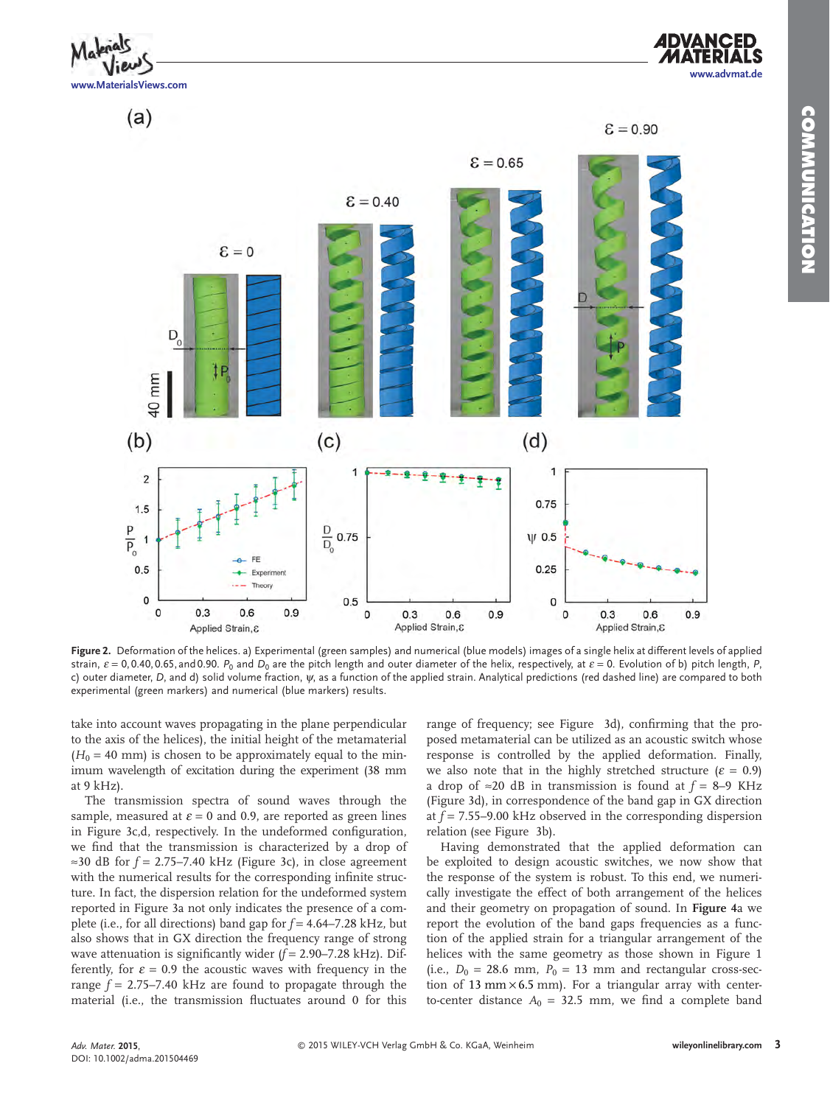

 $E = 0.90$ 



 $\epsilon = 0.65$ 

**Figure 2.** Deformation of the helices. a) Experimental (green samples) and numerical (blue models) images of a single helix at different levels of applied strain,  $\varepsilon = 0, 0.40, 0.65,$  and 0.90. *P*<sub>0</sub> and *D*<sub>0</sub> are the pitch length and outer diameter of the helix, respectively, at  $\varepsilon = 0$ . Evolution of b) pitch length, *P*, c) outer diameter, *D* , and d) solid volume fraction, ψ, as a function of the applied strain. Analytical predictions (red dashed line) are compared to both experimental (green markers) and numerical (blue markers) results.

take into account waves propagating in the plane perpendicular to the axis of the helices), the initial height of the metamaterial  $(H<sub>0</sub> = 40$  mm) is chosen to be approximately equal to the minimum wavelength of excitation during the experiment (38 mm at 9 kHz).

 The transmission spectra of sound waves through the sample, measured at  $\varepsilon = 0$  and 0.9, are reported as green lines in Figure 3c,d, respectively. In the undeformed configuration, we find that the transmission is characterized by a drop of  $\approx$ 30 dB for  $f = 2.75 - 7.40$  kHz (Figure 3c), in close agreement with the numerical results for the corresponding infinite structure. In fact, the dispersion relation for the undeformed system reported in Figure 3a not only indicates the presence of a complete (i.e., for all directions) band gap for *f* = 4.64–7.28 kHz, but also shows that in GX direction the frequency range of strong wave attenuation is significantly wider  $(f = 2.90 - 7.28$  kHz). Differently, for  $\varepsilon = 0.9$  the acoustic waves with frequency in the range  $f = 2.75 - 7.40$  kHz are found to propagate through the material (i.e., the transmission fluctuates around 0 for this range of frequency; see Figure 3d), confirming that the proposed metamaterial can be utilized as an acoustic switch whose response is controlled by the applied deformation. Finally, we also note that in the highly stretched structure ( $\varepsilon = 0.9$ ) a drop of ≈20 dB in transmission is found at *f* = 8–9 KHz (Figure 3d), in correspondence of the band gap in GX direction at *f* = 7.55–9.00 kHz observed in the corresponding dispersion relation (see Figure 3b).

 Having demonstrated that the applied deformation can be exploited to design acoustic switches, we now show that the response of the system is robust. To this end, we numerically investigate the effect of both arrangement of the helices and their geometry on propagation of sound. In **Figure 4** a we report the evolution of the band gaps frequencies as a function of the applied strain for a triangular arrangement of the helices with the same geometry as those shown in Figure 1 (i.e.,  $D_0 = 28.6$  mm,  $P_0 = 13$  mm and rectangular cross-section of 13 mm  $\times$  6.5 mm). For a triangular array with centerto-center distance  $A_0 = 32.5$  mm, we find a complete band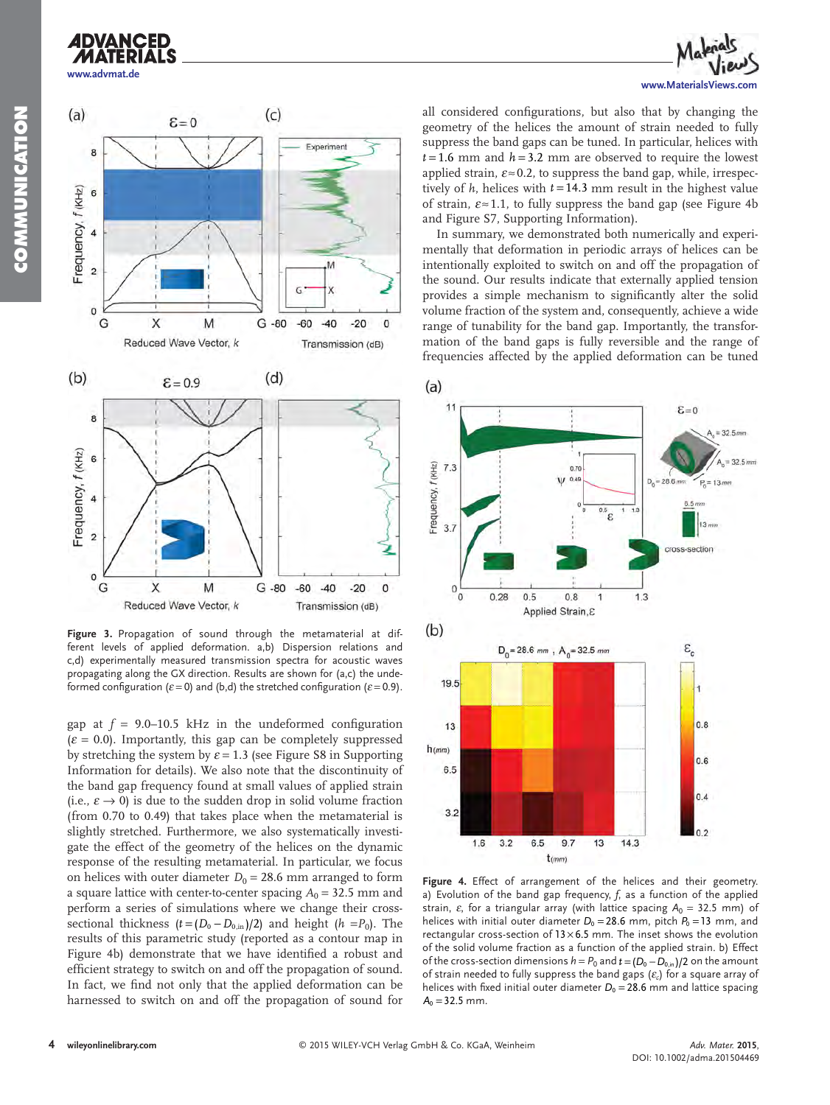## **ADVANCED www.advmat.de**





**Figure 3.** Propagation of sound through the metamaterial at different levels of applied deformation. a,b) Dispersion relations and c,d) experimentally measured transmission spectra for acoustic waves propagating along the GX direction. Results are shown for (a,c) the undeformed configuration ( $\varepsilon$  = 0) and (b,d) the stretched configuration ( $\varepsilon$  = 0.9).

gap at  $f = 9.0 - 10.5$  kHz in the undeformed configuration  $(\varepsilon = 0.0)$ . Importantly, this gap can be completely suppressed by stretching the system by  $\varepsilon = 1.3$  (see Figure S8 in Supporting Information for details). We also note that the discontinuity of the band gap frequency found at small values of applied strain (i.e.,  $\varepsilon \to 0$ ) is due to the sudden drop in solid volume fraction (from 0.70 to 0.49) that takes place when the metamaterial is slightly stretched. Furthermore, we also systematically investigate the effect of the geometry of the helices on the dynamic response of the resulting metamaterial. In particular, we focus on helices with outer diameter  $D_0 = 28.6$  mm arranged to form a square lattice with center-to-center spacing  $A_0 = 32.5$  mm and perform a series of simulations where we change their crosssectional thickness  $(t=(D_0-D_{0,\text{in}})/2)$  and height  $(h=P_0)$ . The results of this parametric study (reported as a contour map in Figure 4b) demonstrate that we have identified a robust and efficient strategy to switch on and off the propagation of sound. In fact, we find not only that the applied deformation can be harnessed to switch on and off the propagation of sound for all considered configurations, but also that by changing the geometry of the helices the amount of strain needed to fully suppress the band gaps can be tuned. In particular, helices with  $t = 1.6$  mm and  $h = 3.2$  mm are observed to require the lowest applied strain,  $\varepsilon \approx 0.2$ , to suppress the band gap, while, irrespectively of  $h$ , helices with  $t = 14.3$  mm result in the highest value of strain,  $\varepsilon \approx 1.1$ , to fully suppress the band gap (see Figure 4b) and Figure S7, Supporting Information).

 In summary, we demonstrated both numerically and experimentally that deformation in periodic arrays of helices can be intentionally exploited to switch on and off the propagation of the sound. Our results indicate that externally applied tension provides a simple mechanism to significantly alter the solid volume fraction of the system and, consequently, achieve a wide range of tunability for the band gap. Importantly, the transformation of the band gaps is fully reversible and the range of frequencies affected by the applied deformation can be tuned



**Figure 4.** Effect of arrangement of the helices and their geometry. a) Evolution of the band gap frequency, f, as a function of the applied strain,  $\varepsilon$ , for a triangular array (with lattice spacing  $A_0 = 32.5$  mm) of helices with initial outer diameter  $D_0 = 28.6$  mm, pitch  $P_0 = 13$  mm, and rectangular cross-section of  $13 \times 6.5$  mm. The inset shows the evolution of the solid volume fraction as a function of the applied strain. b) Effect of the cross-section dimensions  $h = P_0$  and  $t = (D_0 - D_0)_0/2$  on the amount of strain needed to fully suppress the band gaps  $(\varepsilon_c)$  for a square array of helices with fixed initial outer diameter  $D_0 = 28.6$  mm and lattice spacing  $A_0 = 32.5$  mm.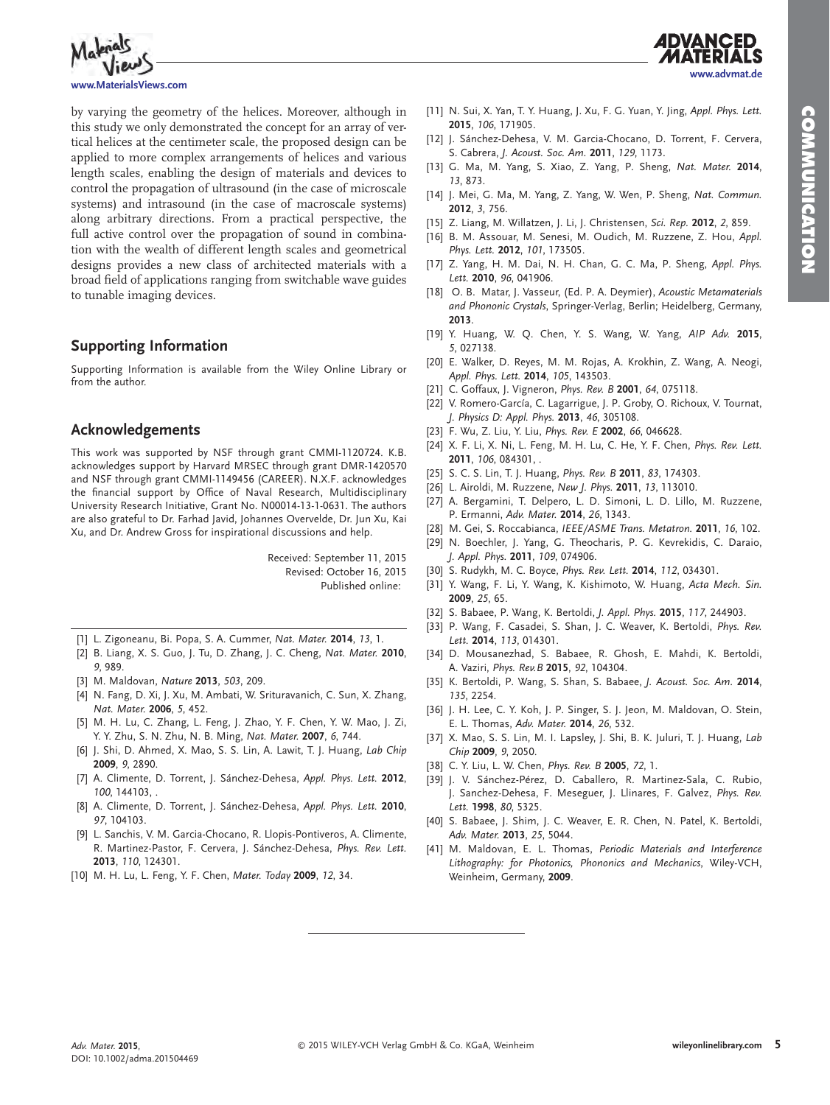**www.advmat.de**



by varying the geometry of the helices. Moreover, although in this study we only demonstrated the concept for an array of vertical helices at the centimeter scale, the proposed design can be applied to more complex arrangements of helices and various length scales, enabling the design of materials and devices to control the propagation of ultrasound (in the case of microscale systems) and intrasound (in the case of macroscale systems) along arbitrary directions. From a practical perspective, the full active control over the propagation of sound in combination with the wealth of different length scales and geometrical designs provides a new class of architected materials with a broad field of applications ranging from switchable wave guides to tunable imaging devices.

#### **Supporting Information**

 Supporting Information is available from the Wiley Online Library or from the author.

#### **Acknowledgements**

 This work was supported by NSF through grant CMMI-1120724. K.B. acknowledges support by Harvard MRSEC through grant DMR-1420570 and NSF through grant CMMI-1149456 (CAREER). N.X.F. acknowledges the financial support by Office of Naval Research, Multidisciplinary University Research Initiative, Grant No. N00014-13-1-0631. The authors are also grateful to Dr. Farhad Javid, Johannes Overvelde, Dr. Jun Xu, Kai Xu, and Dr. Andrew Gross for inspirational discussions and help.

Received: September 11, 2015

Revised: October 16, 2015 Published online:

- [1] L. Zigoneanu, Bi. Popa, S. A. Cummer, *Nat. Mater.* **2014**, 13, 1.
- [2] B. Liang, X. S. Guo, J. Tu, D. Zhang, J. C. Cheng, *Nat. Mater.* 2010, *9* , 989 .
- [3] M. Maldovan, *Nature* **2013**, 503, 209.
- [4] N. Fang, D. Xi, J. Xu, M. Ambati, W. Srituravanich, C. Sun, X. Zhang, *Nat. Mater.* **2006** , *5* , 452 .
- [5] M. H. Lu, C. Zhang, L. Feng, J. Zhao, Y. F. Chen, Y. W. Mao, J. Zi, Y. Y. Zhu, S. N. Zhu, N. B. Ming, Nat. Mater. 2007, 6, 744.
- [6] J. Shi, D. Ahmed, X. Mao, S. S. Lin, A. Lawit, T. J. Huang, *Lab Chip*  **2009** , *9* , 2890 .
- [7] A. Climente, D. Torrent, J. Sánchez-Dehesa, Appl. Phys. Lett. 2012, *100*, 144103.
- [8] A. Climente, D. Torrent, J. Sánchez-Dehesa, Appl. Phys. Lett. 2010, *97* , 104103 .
- [9] L. Sanchis, V. M. Garcia-Chocano, R. Llopis-Pontiveros, A. Climente, R. Martinez-Pastor, F. Cervera, J. Sánchez-Dehesa, Phys. Rev. Lett.  **2013** , *110* , 124301 .
- [10] M. H. Lu, L. Feng, Y. F. Chen, Mater. Today 2009, 12, 34.
- [11] N. Sui, X. Yan, T. Y. Huang, J. Xu, F. G. Yuan, Y. Jing, Appl. Phys. Lett.  **2015** , *106* , 171905 .
- [12] J. Sánchez-Dehesa, V. M. Garcia-Chocano, D. Torrent, F. Cervera, S. Cabrera , *J. Acoust. Soc. Am.* **2011** , *129* , 1173 .
- [13] G. Ma, M. Yang, S. Xiao, Z. Yang, P. Sheng, Nat. Mater. 2014, *13* , 873 .
- [14] J. Mei, G. Ma, M. Yang, Z. Yang, W. Wen, P. Sheng, Nat. Commun.  **2012** , *3* , 756 .
- [15] Z. Liang, M. Willatzen, J. Li, J. Christensen, Sci. Rep. 2012, 2, 859.
- [16] B. M. Assouar, M. Senesi, M. Oudich, M. Ruzzene, Z. Hou, Appl. *Phys. Lett.* **2012** , *101* , 173505 .
- [17] Z. Yang, H. M. Dai, N. H. Chan, G. C. Ma, P. Sheng, Appl. Phys. *Lett.* **2010** , *96* , 041906 .
- [18] O. B. Matar, J. Vasseur, (Ed. P. A. Deymier), Acoustic Metamaterials and Phononic Crystals, Springer-Verlag, Berlin; Heidelberg, Germany,  **2013** .
- [19] Y. Huang, W. Q. Chen, Y. S. Wang, W. Yang, AIP Adv. 2015, *5* , 027138 .
- [20] E. Walker, D. Reyes, M. M. Rojas, A. Krokhin, Z. Wang, A. Neogi, *Appl. Phys. Lett.* **2014** , *105* , 143503 .
- [21] C. Goffaux, J. Vigneron, *Phys. Rev. B* 2001, 64, 075118.
- [22] V. Romero-García, C. Lagarrigue, J. P. Groby, O. Richoux, V. Tournat, *J. Physics D: Appl. Phys.* **2013** , *46* , 305108 .
- [23] F. Wu , Z. Liu , Y. Liu , *Phys. Rev. E* **2002** , *66* , 046628 .
- [24] X. F. Li, X. Ni, L. Feng, M. H. Lu, C. He, Y. F. Chen, *Phys. Rev. Lett.* **2011**, *106*, 084301, .
- [25] S. C. S. Lin , T. J. Huang , *Phys. Rev. B* **2011** , *83* , 174303 .
- [26] L. Airoldi, M. Ruzzene, *New J. Phys.* **2011**, 13, 113010.
- [27] A. Bergamini, T. Delpero, L. D. Simoni, L. D. Lillo, M. Ruzzene, P. Ermanni , *Adv. Mater.* **2014** , *26* , 1343 .
- [28] M. Gei, S. Roccabianca, *IEEE/ASME Trans. Metatron.* **2011**, *16*, 102.
- [29] N. Boechler, J. Yang, G. Theocharis, P. G. Kevrekidis, C. Daraio, *J. Appl. Phys.* **2011** , *109* , 074906 .
- [30] S. Rudykh, M. C. Boyce, *Phys. Rev. Lett.* **2014**, 112, 034301.
- [31] Y. Wang, F. Li, Y. Wang, K. Kishimoto, W. Huang, Acta Mech. Sin.  **2009** , *25* , 65 .
- [32] S. Babaee, P. Wang, K. Bertoldi, J. Appl. Phys. 2015, 117, 244903.
- [33] P. Wang, F. Casadei, S. Shan, J. C. Weaver, K. Bertoldi, Phys. Rev. *Lett.* **2014** , *113* , 014301 .
- [34] D. Mousanezhad, S. Babaee, R. Ghosh, E. Mahdi, K. Bertoldi, A. Vaziri , *Phys. Rev.B* **2015** , *92* , 104304 .
- [35] K. Bertoldi, P. Wang, S. Shan, S. Babaee, *J. Acoust. Soc. Am.* 2014, *135* , 2254 .
- [36] J. H. Lee, C. Y. Koh, J. P. Singer, S. J. Jeon, M. Maldovan, O. Stein, E. L. Thomas, *Adv. Mater.* **2014** , *26* , 532 .
- [37] X. Mao, S. S. Lin, M. I. Lapsley, J. Shi, B. K. Juluri, T. J. Huang, *Lab Chip* **2009** , *9* , 2050 .
- [38] C. Y. Liu, L. W. Chen, *Phys. Rev. B* 2005, 72, 1.
- [39] J. V. Sánchez-Pérez, D. Caballero, R. Martinez-Sala, C. Rubio, J. Sanchez-Dehesa, F. Meseguer, J. Llinares, F. Galvez, Phys. Rev. *Lett.* **1998** , *80* , 5325 .
- [40] S. Babaee, J. Shim, J. C. Weaver, E. R. Chen, N. Patel, K. Bertoldi, *Adv. Mater.* **2013** , *25* , 5044 .
- [41] M. Maldovan, E. L. Thomas, Periodic Materials and Interference Lithography: for Photonics, Phononics and Mechanics, Wiley-VCH, Weinheim, Germany, 2009.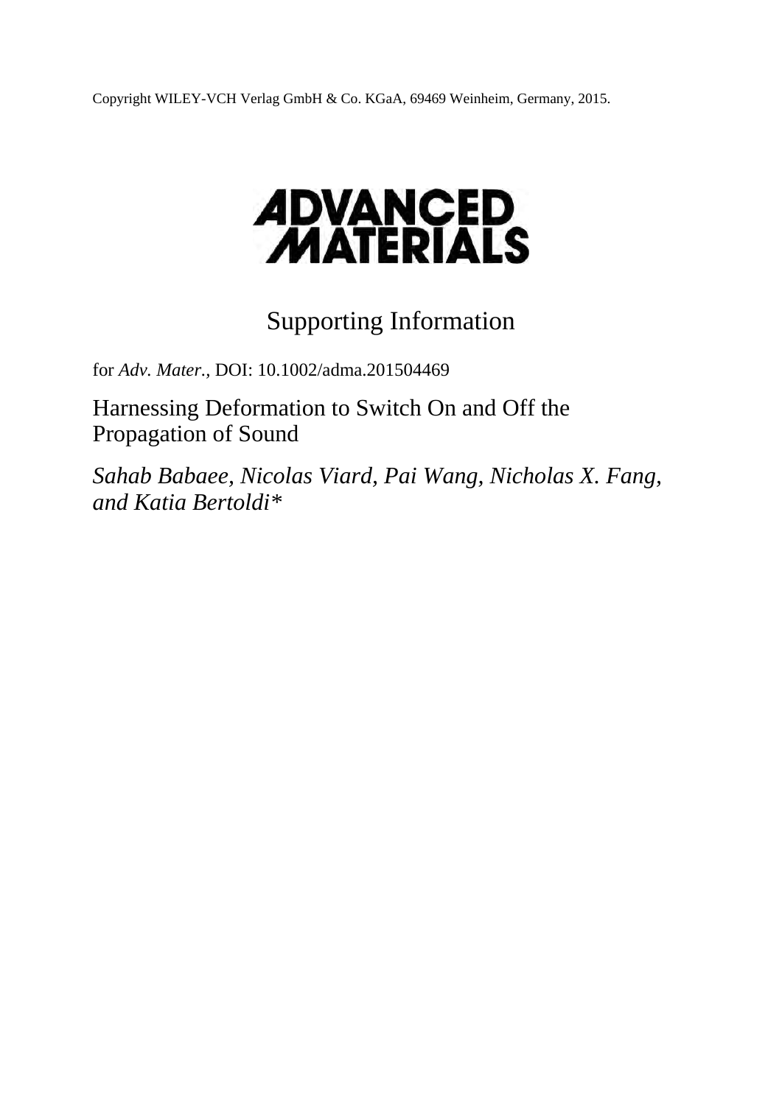Copyright WILEY-VCH Verlag GmbH & Co. KGaA, 69469 Weinheim, Germany, 2015.

# **ADVANCED<br>MATERIALS**

# Supporting Information

for *Adv. Mater.,* DOI: 10.1002/adma.201504469

Harnessing Deformation to Switch On and Off the Propagation of Sound

*Sahab Babaee, Nicolas Viard, Pai Wang, Nicholas X. Fang, and Katia Bertoldi\**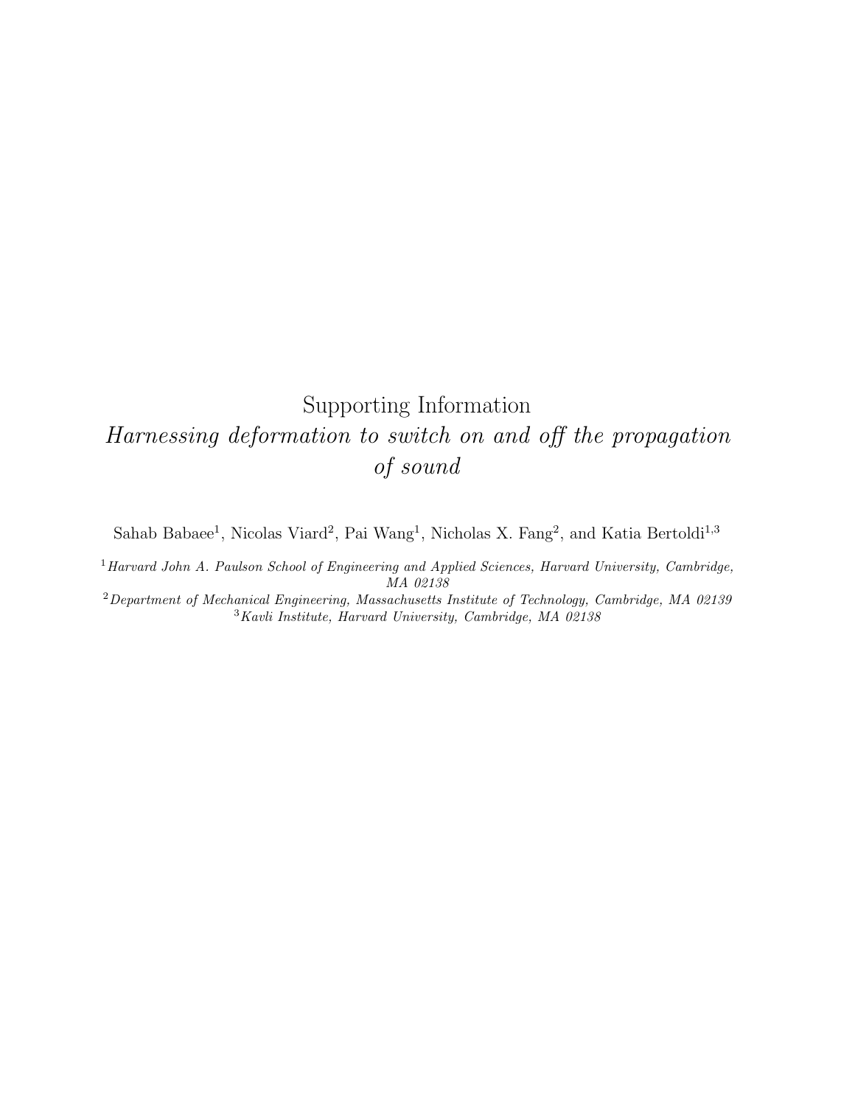## Supporting Information Harnessing deformation to switch on and off the propagation of sound

Sahab Babaee<sup>1</sup>, Nicolas Viard<sup>2</sup>, Pai Wang<sup>1</sup>, Nicholas X. Fang<sup>2</sup>, and Katia Bertoldi<sup>1,3</sup>

<sup>1</sup> Harvard John A. Paulson School of Engineering and Applied Sciences, Harvard University, Cambridge, MA 02138

<sup>2</sup>Department of Mechanical Engineering, Massachusetts Institute of Technology, Cambridge, MA 02139 <sup>3</sup>Kavli Institute, Harvard University, Cambridge, MA 02138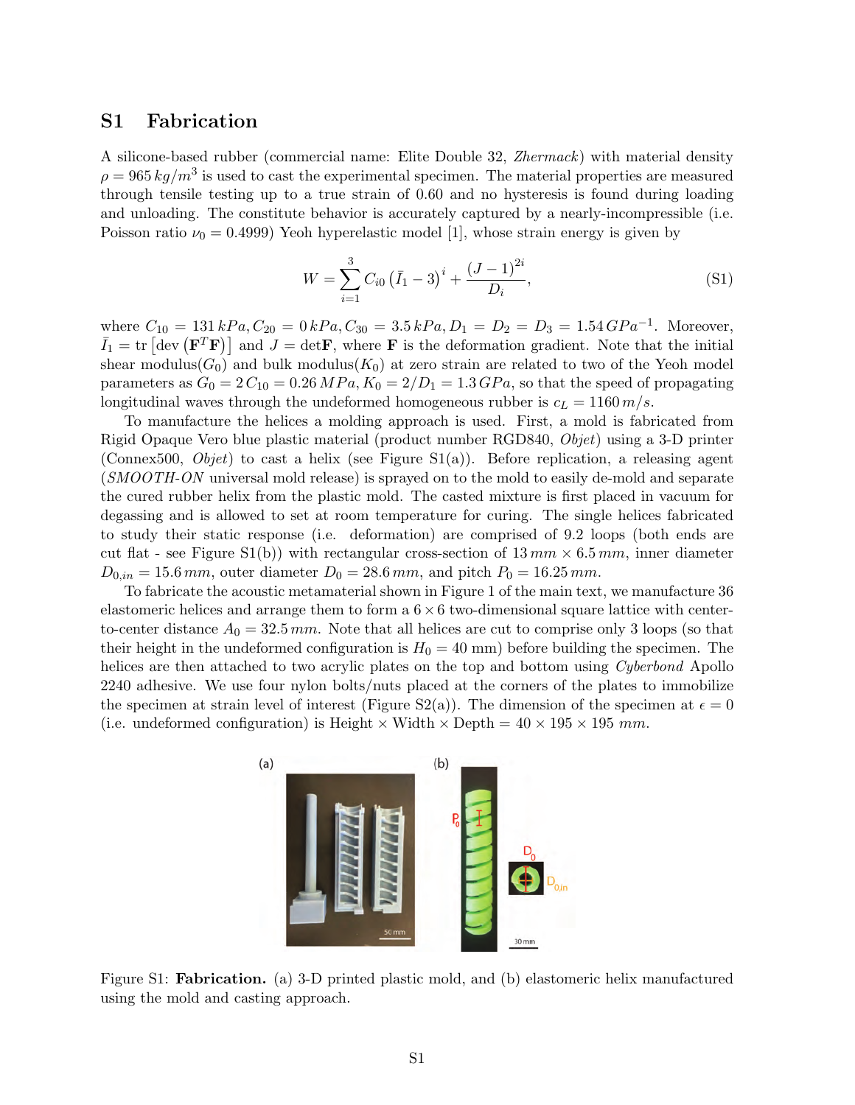#### <span id="page-7-1"></span>S1 Fabrication

A silicone-based rubber (commercial name: Elite Double 32, Zhermack) with material density  $\rho = 965 \, kg/m^3$  is used to cast the experimental specimen. The material properties are measured through tensile testing up to a true strain of 0.60 and no hysteresis is found during loading and unloading. The constitute behavior is accurately captured by a nearly-incompressible (i.e. Poisson ratio  $\nu_0 = 0.4999$  Yeoh hyperelastic model [\[1\]](#page-19-0), whose strain energy is given by

$$
W = \sum_{i=1}^{3} C_{i0} (\bar{I}_1 - 3)^i + \frac{(J-1)^{2i}}{D_i},
$$
\n(S1)

where  $C_{10} = 131 kPa$ ,  $C_{20} = 0 kPa$ ,  $C_{30} = 3.5 kPa$ ,  $D_1 = D_2 = D_3 = 1.54 GPa^{-1}$ . Moreover,  $\bar{I}_1 = \text{tr} \left[ \text{dev} \left( \mathbf{F}^T \mathbf{F} \right) \right]$  and  $J = \text{det} \mathbf{F}$ , where **F** is the deformation gradient. Note that the initial shear modulus( $G_0$ ) and bulk modulus( $K_0$ ) at zero strain are related to two of the Yeoh model parameters as  $G_0 = 2 C_{10} = 0.26 MPa$ ,  $K_0 = 2/D_1 = 1.3 GPa$ , so that the speed of propagating longitudinal waves through the undeformed homogeneous rubber is  $c<sub>L</sub> = 1160 m/s$ .

To manufacture the helices a molding approach is used. First, a mold is fabricated from Rigid Opaque Vero blue plastic material (product number RGD840, Objet) using a 3-D printer (Connex500, *Objet*) to cast a helix (see Figure  $S1(a)$ ). Before replication, a releasing agent (SMOOTH-ON universal mold release) is sprayed on to the mold to easily de-mold and separate the cured rubber helix from the plastic mold. The casted mixture is first placed in vacuum for degassing and is allowed to set at room temperature for curing. The single helices fabricated to study their static response (i.e. deformation) are comprised of 9.2 loops (both ends are cut flat - see Figure [S1\(](#page-7-0)b)) with rectangular cross-section of  $13 \, mm \times 6.5 \, mm$ , inner diameter  $D_{0,in} = 15.6 \, mm$ , outer diameter  $D_0 = 28.6 \, mm$ , and pitch  $P_0 = 16.25 \, mm$ .

To fabricate the acoustic metamaterial shown in Figure 1 of the main text, we manufacture 36 elastomeric helices and arrange them to form a  $6 \times 6$  two-dimensional square lattice with centerto-center distance  $A_0 = 32.5 \, mm$ . Note that all helices are cut to comprise only 3 loops (so that their height in the undeformed configuration is  $H_0 = 40$  mm) before building the specimen. The helices are then attached to two acrylic plates on the top and bottom using *Cyberbond* Apollo 2240 adhesive. We use four nylon bolts/nuts placed at the corners of the plates to immobilize the specimen at strain level of interest (Figure [S2\(](#page-8-0)a)). The dimension of the specimen at  $\epsilon = 0$ (i.e. undeformed configuration) is Height  $\times$  Width  $\times$  Depth = 40  $\times$  195  $\times$  195 mm.



<span id="page-7-0"></span>Figure S1: Fabrication. (a) 3-D printed plastic mold, and (b) elastomeric helix manufactured using the mold and casting approach.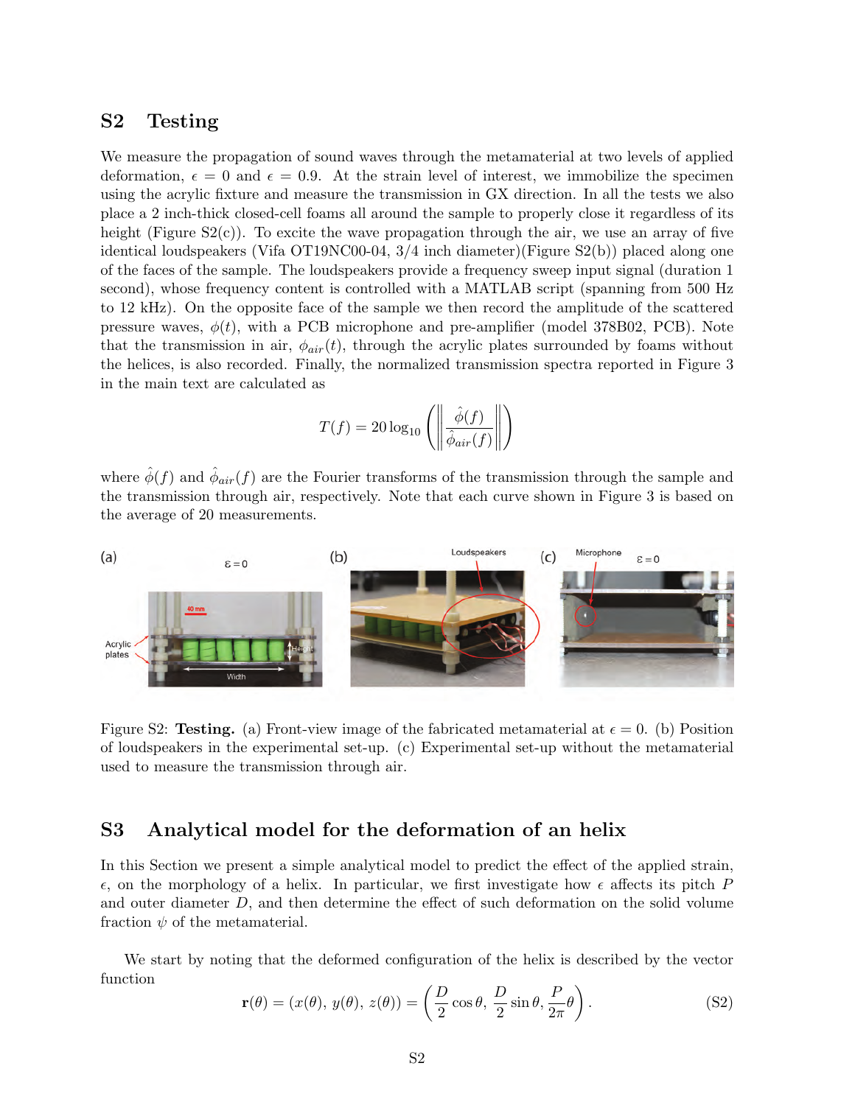#### S2 Testing

We measure the propagation of sound waves through the metamaterial at two levels of applied deformation,  $\epsilon = 0$  and  $\epsilon = 0.9$ . At the strain level of interest, we immobilize the specimen using the acrylic fixture and measure the transmission in GX direction. In all the tests we also place a 2 inch-thick closed-cell foams all around the sample to properly close it regardless of its height (Figure  $S_2(c)$ ). To excite the wave propagation through the air, we use an array of five identical loudspeakers (Vifa OT19NC00-04, 3/4 inch diameter)(Figure S2(b)) placed along one of the faces of the sample. The loudspeakers provide a frequency sweep input signal (duration 1 second), whose frequency content is controlled with a MATLAB script (spanning from 500 Hz to 12 kHz). On the opposite face of the sample we then record the amplitude of the scattered pressure waves,  $\phi(t)$ , with a PCB microphone and pre-amplifier (model 378B02, PCB). Note that the transmission in air,  $\phi_{air}(t)$ , through the acrylic plates surrounded by foams without the helices, is also recorded. Finally, the normalized transmission spectra reported in Figure 3 in the main text are calculated as

$$
T(f) = 20 \log_{10} \left( \left\| \frac{\hat{\phi}(f)}{\hat{\phi}_{air}(f)} \right\| \right)
$$

where  $\hat{\phi}(f)$  and  $\hat{\phi}_{air}(f)$  are the Fourier transforms of the transmission through the sample and the transmission through air, respectively. Note that each curve shown in Figure 3 is based on the average of 20 measurements.



<span id="page-8-0"></span>Figure S2: Testing. (a) Front-view image of the fabricated metamaterial at  $\epsilon = 0$ . (b) Position of loudspeakers in the experimental set-up. (c) Experimental set-up without the metamaterial used to measure the transmission through air.

#### S3 Analytical model for the deformation of an helix

In this Section we present a simple analytical model to predict the effect of the applied strain,  $\epsilon$ , on the morphology of a helix. In particular, we first investigate how  $\epsilon$  affects its pitch P and outer diameter D, and then determine the effect of such deformation on the solid volume fraction  $\psi$  of the metamaterial.

We start by noting that the deformed configuration of the helix is described by the vector function

$$
\mathbf{r}(\theta) = (x(\theta), y(\theta), z(\theta)) = \left(\frac{D}{2}\cos\theta, \frac{D}{2}\sin\theta, \frac{P}{2\pi}\theta\right). \tag{S2}
$$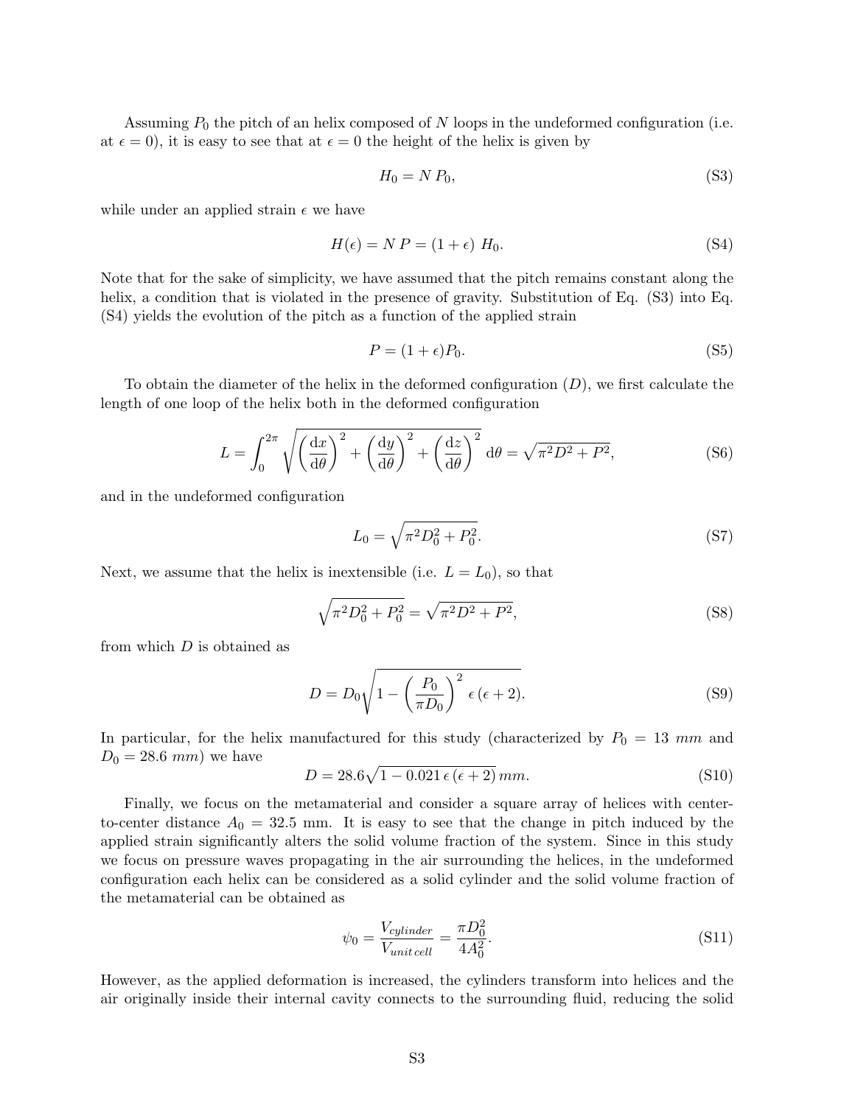Assuming  $P_0$  the pitch of an helix composed of N loops in the undeformed configuration (i.e. at  $\epsilon = 0$ , it is easy to see that at  $\epsilon = 0$  the height of the helix is given by

<span id="page-9-0"></span>
$$
H_0 = N P_0,\tag{S3}
$$

while under an applied strain  $\epsilon$  we have

<span id="page-9-1"></span>
$$
H(\epsilon) = NP = (1 + \epsilon) H_0. \tag{S4}
$$

Note that for the sake of simplicity, we have assumed that the pitch remains constant along the helix, a condition that is violated in the presence of gravity. Substitution of Eq. [\(S3\)](#page-9-0) into Eq. [\(S4\)](#page-9-1) yields the evolution of the pitch as a function of the applied strain

$$
P = (1 + \epsilon)P_0. \tag{S5}
$$

To obtain the diameter of the helix in the deformed configuration  $(D)$ , we first calculate the length of one loop of the helix both in the deformed configuration

$$
L = \int_0^{2\pi} \sqrt{\left(\frac{\mathrm{d}x}{\mathrm{d}\theta}\right)^2 + \left(\frac{\mathrm{d}y}{\mathrm{d}\theta}\right)^2 + \left(\frac{\mathrm{d}z}{\mathrm{d}\theta}\right)^2} \,\mathrm{d}\theta = \sqrt{\pi^2 D^2 + P^2},\tag{S6}
$$

and in the undeformed configuration

$$
L_0 = \sqrt{\pi^2 D_0^2 + P_0^2}.\tag{S7}
$$

Next, we assume that the helix is inextensible (i.e.  $L = L_0$ ), so that

$$
\sqrt{\pi^2 D_0^2 + P_0^2} = \sqrt{\pi^2 D^2 + P^2},\tag{S8}
$$

from which D is obtained as

$$
D = D_0 \sqrt{1 - \left(\frac{P_0}{\pi D_0}\right)^2 \epsilon (\epsilon + 2)}.
$$
 (S9)

In particular, for the helix manufactured for this study (characterized by  $P_0 = 13$  mm and  $D_0 = 28.6$  mm) we have

$$
D = 28.6\sqrt{1 - 0.021\epsilon(\epsilon + 2)}\,mm.\tag{S10}
$$

Finally, we focus on the metamaterial and consider a square array of helices with centerto-center distance  $A_0 = 32.5$  mm. It is easy to see that the change in pitch induced by the applied strain significantly alters the solid volume fraction of the system. Since in this study we focus on pressure waves propagating in the air surrounding the helices, in the undeformed configuration each helix can be considered as a solid cylinder and the solid volume fraction of the metamaterial can be obtained as

$$
\psi_0 = \frac{V_{cylinder}}{V_{unit cell}} = \frac{\pi D_0^2}{4A_0^2}.
$$
\n(S11)

However, as the applied deformation is increased, the cylinders transform into helices and the air originally inside their internal cavity connects to the surrounding fluid, reducing the solid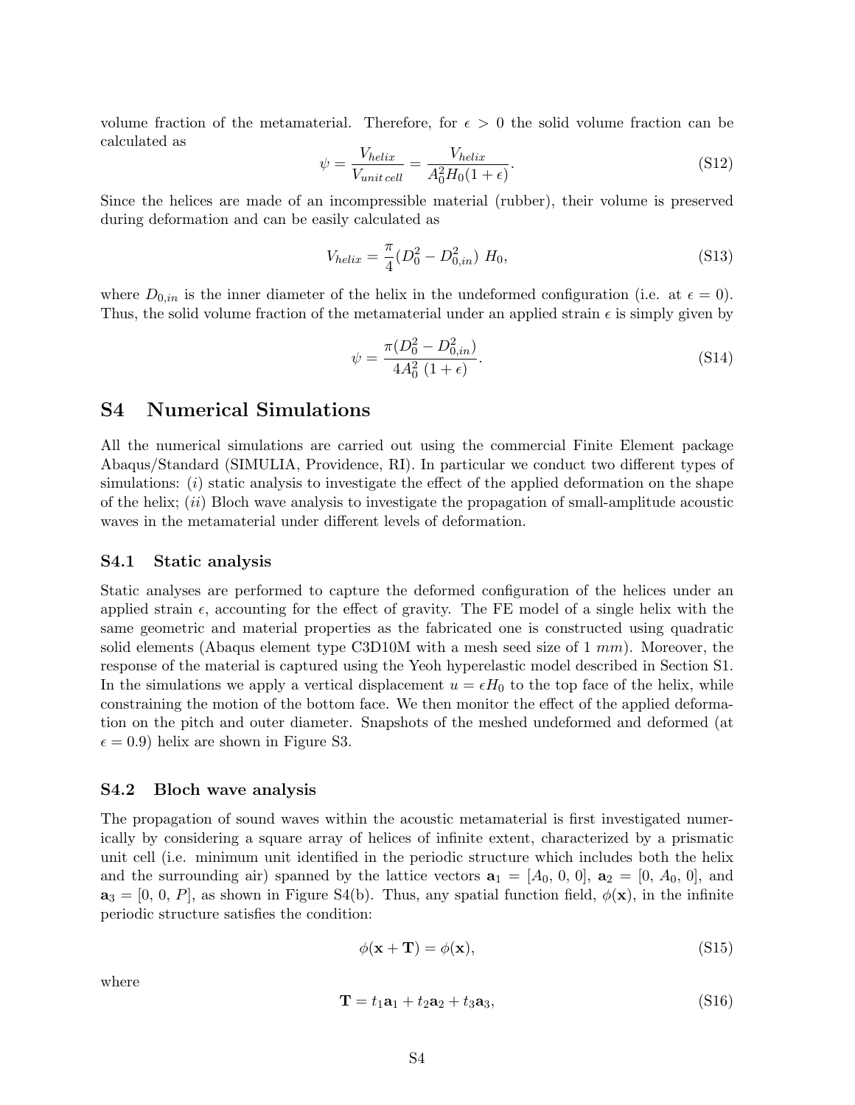volume fraction of the metamaterial. Therefore, for  $\epsilon > 0$  the solid volume fraction can be calculated as

$$
\psi = \frac{V_{helix}}{V_{unit\,cell}} = \frac{V_{helix}}{A_0^2 H_0 (1 + \epsilon)}.\tag{S12}
$$

Since the helices are made of an incompressible material (rubber), their volume is preserved during deformation and can be easily calculated as

$$
V_{helix} = \frac{\pi}{4} (D_0^2 - D_{0,in}^2) H_0,
$$
\n(S13)

where  $D_{0,in}$  is the inner diameter of the helix in the undeformed configuration (i.e. at  $\epsilon = 0$ ). Thus, the solid volume fraction of the metamaterial under an applied strain  $\epsilon$  is simply given by

$$
\psi = \frac{\pi (D_0^2 - D_{0,in}^2)}{4A_0^2 (1 + \epsilon)}.
$$
\n(S14)

#### S4 Numerical Simulations

All the numerical simulations are carried out using the commercial Finite Element package Abaqus/Standard (SIMULIA, Providence, RI). In particular we conduct two different types of simulations:  $(i)$  static analysis to investigate the effect of the applied deformation on the shape of the helix;  $(ii)$  Bloch wave analysis to investigate the propagation of small-amplitude acoustic waves in the metamaterial under different levels of deformation.

#### S4.1 Static analysis

Static analyses are performed to capture the deformed configuration of the helices under an applied strain  $\epsilon$ , accounting for the effect of gravity. The FE model of a single helix with the same geometric and material properties as the fabricated one is constructed using quadratic solid elements (Abaqus element type C3D10M with a mesh seed size of  $1 \, mm$ ). Moreover, the response of the material is captured using the Yeoh hyperelastic model described in Section [S1.](#page-7-1) In the simulations we apply a vertical displacement  $u = \epsilon H_0$  to the top face of the helix, while constraining the motion of the bottom face. We then monitor the effect of the applied deformation on the pitch and outer diameter. Snapshots of the meshed undeformed and deformed (at  $\epsilon = 0.9$ ) helix are shown in Figure [S3.](#page-11-0)

#### S4.2 Bloch wave analysis

The propagation of sound waves within the acoustic metamaterial is first investigated numerically by considering a square array of helices of infinite extent, characterized by a prismatic unit cell (i.e. minimum unit identified in the periodic structure which includes both the helix and the surrounding air) spanned by the lattice vectors  $\mathbf{a}_1 = [A_0, 0, 0], \mathbf{a}_2 = [0, A_0, 0],$  and  $\mathbf{a}_3 = [0, 0, P]$ , as shown in Figure [S4\(](#page-12-0)b). Thus, any spatial function field,  $\phi(\mathbf{x})$ , in the infinite periodic structure satisfies the condition:

$$
\phi(\mathbf{x} + \mathbf{T}) = \phi(\mathbf{x}),\tag{S15}
$$

where

$$
\mathbf{T} = t_1 \mathbf{a}_1 + t_2 \mathbf{a}_2 + t_3 \mathbf{a}_3, \tag{S16}
$$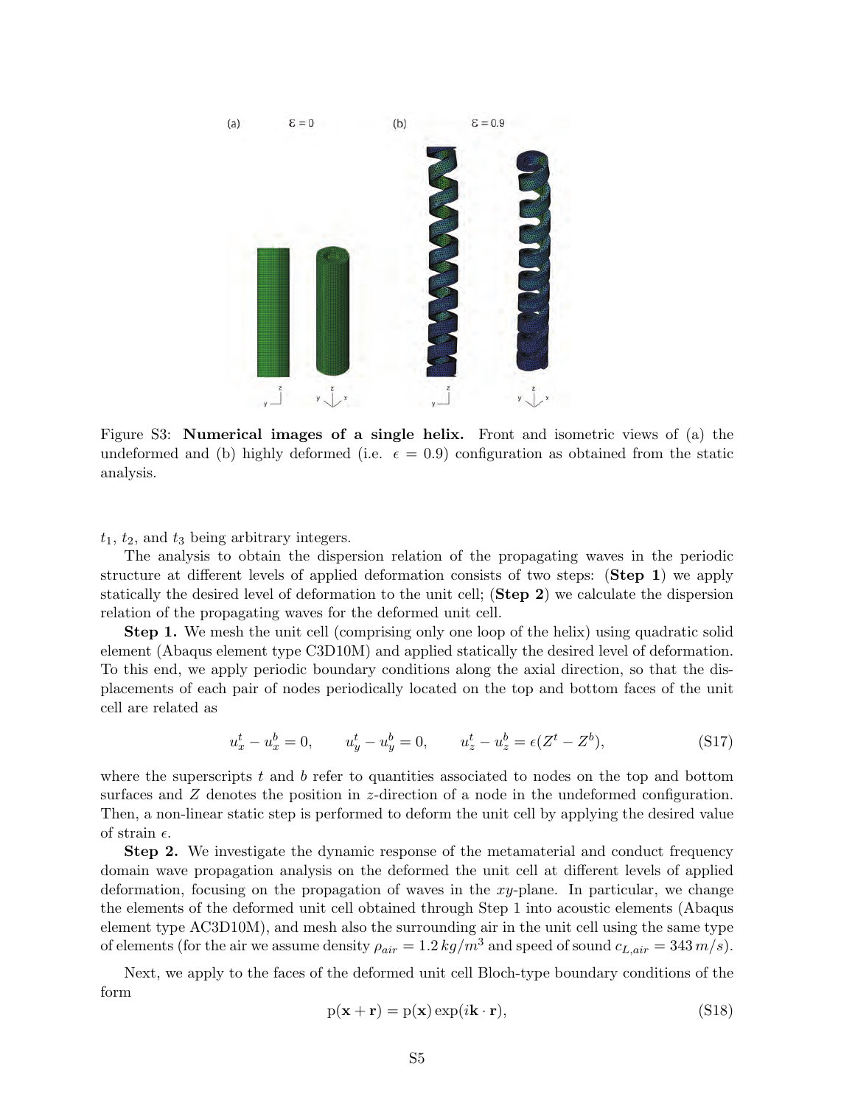

<span id="page-11-0"></span>Figure S3: Numerical images of a single helix. Front and isometric views of (a) the undeformed and (b) highly deformed (i.e.  $\epsilon = 0.9$ ) configuration as obtained from the static analysis.

 $t_1$ ,  $t_2$ , and  $t_3$  being arbitrary integers.

The analysis to obtain the dispersion relation of the propagating waves in the periodic structure at different levels of applied deformation consists of two steps: (Step 1) we apply statically the desired level of deformation to the unit cell; (Step 2) we calculate the dispersion relation of the propagating waves for the deformed unit cell.

Step 1. We mesh the unit cell (comprising only one loop of the helix) using quadratic solid element (Abaqus element type C3D10M) and applied statically the desired level of deformation. To this end, we apply periodic boundary conditions along the axial direction, so that the displacements of each pair of nodes periodically located on the top and bottom faces of the unit cell are related as

$$
u_x^t - u_x^b = 0, \qquad u_y^t - u_y^b = 0, \qquad u_z^t - u_z^b = \epsilon (Z^t - Z^b), \tag{S17}
$$

where the superscripts  $t$  and  $b$  refer to quantities associated to nodes on the top and bottom surfaces and Z denotes the position in z-direction of a node in the undeformed configuration. Then, a non-linear static step is performed to deform the unit cell by applying the desired value of strain  $\epsilon$ .

Step 2. We investigate the dynamic response of the metamaterial and conduct frequency domain wave propagation analysis on the deformed the unit cell at different levels of applied deformation, focusing on the propagation of waves in the xy-plane. In particular, we change the elements of the deformed unit cell obtained through Step 1 into acoustic elements (Abaqus element type AC3D10M), and mesh also the surrounding air in the unit cell using the same type of elements (for the air we assume density  $\rho_{air} = 1.2 \ kg/m^3$  and speed of sound  $c_{L,air} = 343 \ m/s$ ).

Next, we apply to the faces of the deformed unit cell Bloch-type boundary conditions of the form

<span id="page-11-1"></span>
$$
p(\mathbf{x} + \mathbf{r}) = p(\mathbf{x}) \exp(i\mathbf{k} \cdot \mathbf{r}),
$$
\n(S18)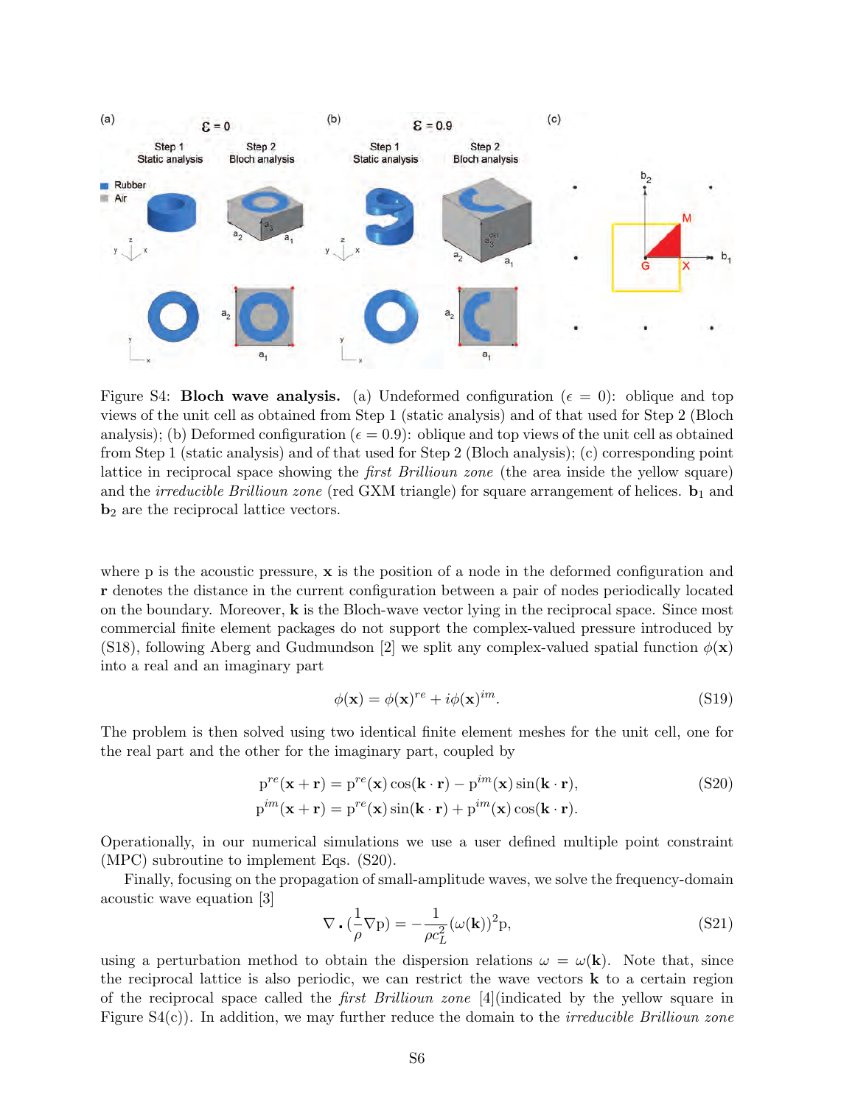

<span id="page-12-0"></span>Figure S4: **Bloch wave analysis.** (a) Undeformed configuration ( $\epsilon = 0$ ): oblique and top views of the unit cell as obtained from Step 1 (static analysis) and of that used for Step 2 (Bloch analysis); (b) Deformed configuration ( $\epsilon = 0.9$ ): oblique and top views of the unit cell as obtained from Step 1 (static analysis) and of that used for Step 2 (Bloch analysis); (c) corresponding point lattice in reciprocal space showing the first Brillioun zone (the area inside the yellow square) and the *irreducible Brillioun zone* (red GXM triangle) for square arrangement of helices.  $\mathbf{b}_1$  and b<sup>2</sup> are the reciprocal lattice vectors.

where p is the acoustic pressure,  $x$  is the position of a node in the deformed configuration and r denotes the distance in the current configuration between a pair of nodes periodically located on the boundary. Moreover,  $k$  is the Bloch-wave vector lying in the reciprocal space. Since most commercial finite element packages do not support the complex-valued pressure introduced by [\(S18\)](#page-11-1), following Aberg and Gudmundson [\[2\]](#page-19-1) we split any complex-valued spatial function  $\phi(\mathbf{x})$ into a real and an imaginary part

<span id="page-12-1"></span>
$$
\phi(\mathbf{x}) = \phi(\mathbf{x})^{re} + i\phi(\mathbf{x})^{im}.
$$
\n(S19)

The problem is then solved using two identical finite element meshes for the unit cell, one for the real part and the other for the imaginary part, coupled by

$$
p^{re}(\mathbf{x} + \mathbf{r}) = p^{re}(\mathbf{x})\cos(\mathbf{k} \cdot \mathbf{r}) - p^{im}(\mathbf{x})\sin(\mathbf{k} \cdot \mathbf{r}),
$$
\n
$$
p^{im}(\mathbf{x} + \mathbf{r}) = p^{re}(\mathbf{x})\sin(\mathbf{k} \cdot \mathbf{r}) + p^{im}(\mathbf{x})\cos(\mathbf{k} \cdot \mathbf{r}).
$$
\n(S20)

Operationally, in our numerical simulations we use a user defined multiple point constraint (MPC) subroutine to implement Eqs. [\(S20\)](#page-12-1).

Finally, focusing on the propagation of small-amplitude waves, we solve the frequency-domain acoustic wave equation [\[3\]](#page-19-2)

$$
\nabla \cdot \left(\frac{1}{\rho} \nabla \mathbf{p}\right) = -\frac{1}{\rho c_L^2} (\omega(\mathbf{k}))^2 \mathbf{p},\tag{S21}
$$

using a perturbation method to obtain the dispersion relations  $\omega = \omega(\mathbf{k})$ . Note that, since the reciprocal lattice is also periodic, we can restrict the wave vectors  $\bf{k}$  to a certain region of the reciprocal space called the first Brillioun zone [\[4\]](#page-19-3)(indicated by the yellow square in Figure  $S_4(c)$ ). In addition, we may further reduce the domain to the *irreducible Brillioun zone*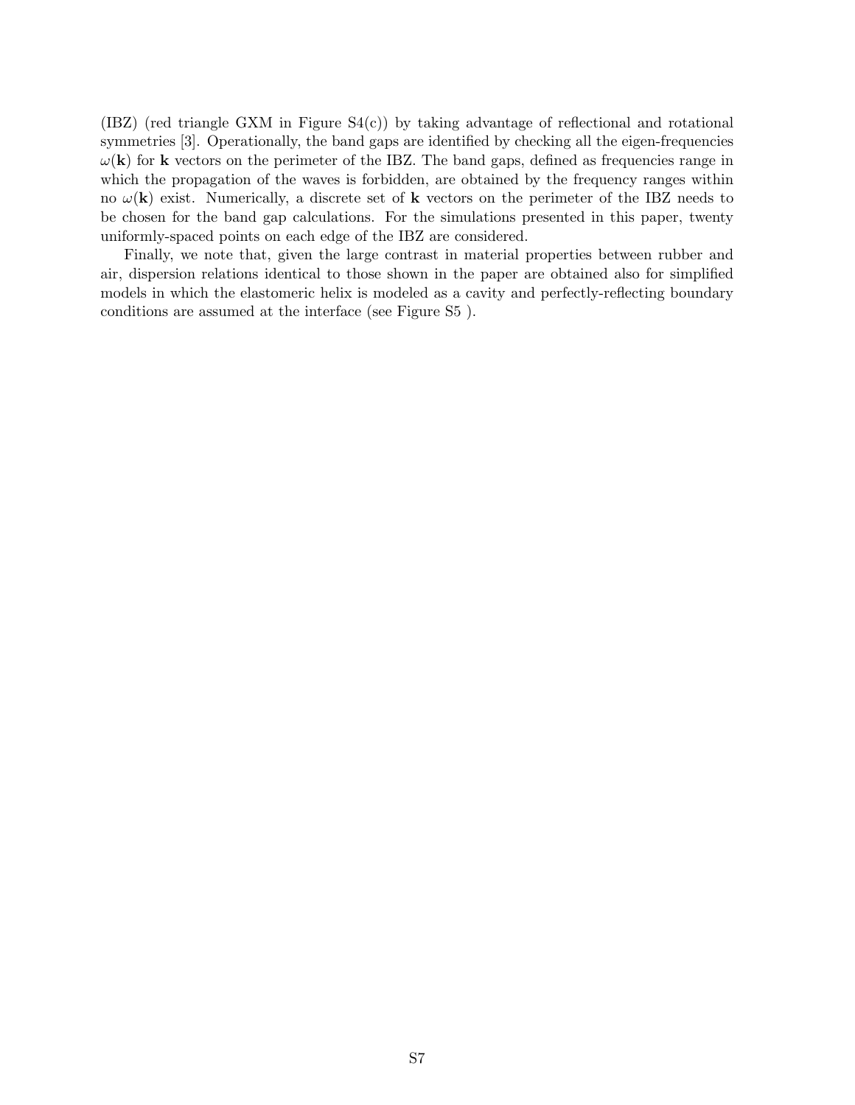$(IBZ)$  (red triangle GXM in Figure  $S4(c)$ ) by taking advantage of reflectional and rotational symmetries [\[3\]](#page-19-2). Operationally, the band gaps are identified by checking all the eigen-frequencies  $\omega(\mathbf{k})$  for **k** vectors on the perimeter of the IBZ. The band gaps, defined as frequencies range in which the propagation of the waves is forbidden, are obtained by the frequency ranges within no  $\omega(\mathbf{k})$  exist. Numerically, a discrete set of **k** vectors on the perimeter of the IBZ needs to be chosen for the band gap calculations. For the simulations presented in this paper, twenty uniformly-spaced points on each edge of the IBZ are considered.

Finally, we note that, given the large contrast in material properties between rubber and air, dispersion relations identical to those shown in the paper are obtained also for simplified models in which the elastomeric helix is modeled as a cavity and perfectly-reflecting boundary conditions are assumed at the interface (see Figure S5 ).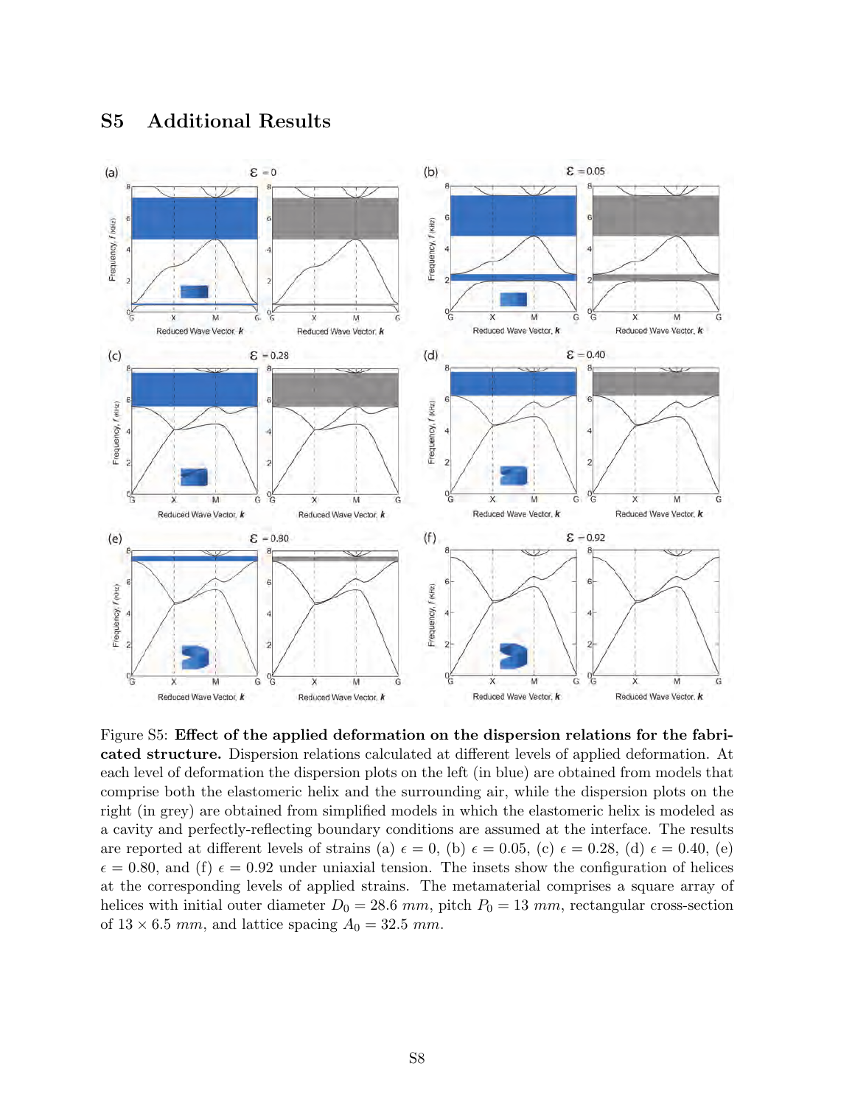### S5 Additional Results



Figure S5: Effect of the applied deformation on the dispersion relations for the fabricated structure. Dispersion relations calculated at different levels of applied deformation. At each level of deformation the dispersion plots on the left (in blue) are obtained from models that comprise both the elastomeric helix and the surrounding air, while the dispersion plots on the right (in grey) are obtained from simplified models in which the elastomeric helix is modeled as a cavity and perfectly-reflecting boundary conditions are assumed at the interface. The results are reported at different levels of strains (a)  $\epsilon = 0$ , (b)  $\epsilon = 0.05$ , (c)  $\epsilon = 0.28$ , (d)  $\epsilon = 0.40$ , (e)  $\epsilon = 0.80$ , and (f)  $\epsilon = 0.92$  under uniaxial tension. The insets show the configuration of helices at the corresponding levels of applied strains. The metamaterial comprises a square array of helices with initial outer diameter  $D_0 = 28.6$  mm, pitch  $P_0 = 13$  mm, rectangular cross-section of  $13 \times 6.5$  mm, and lattice spacing  $A_0 = 32.5$  mm.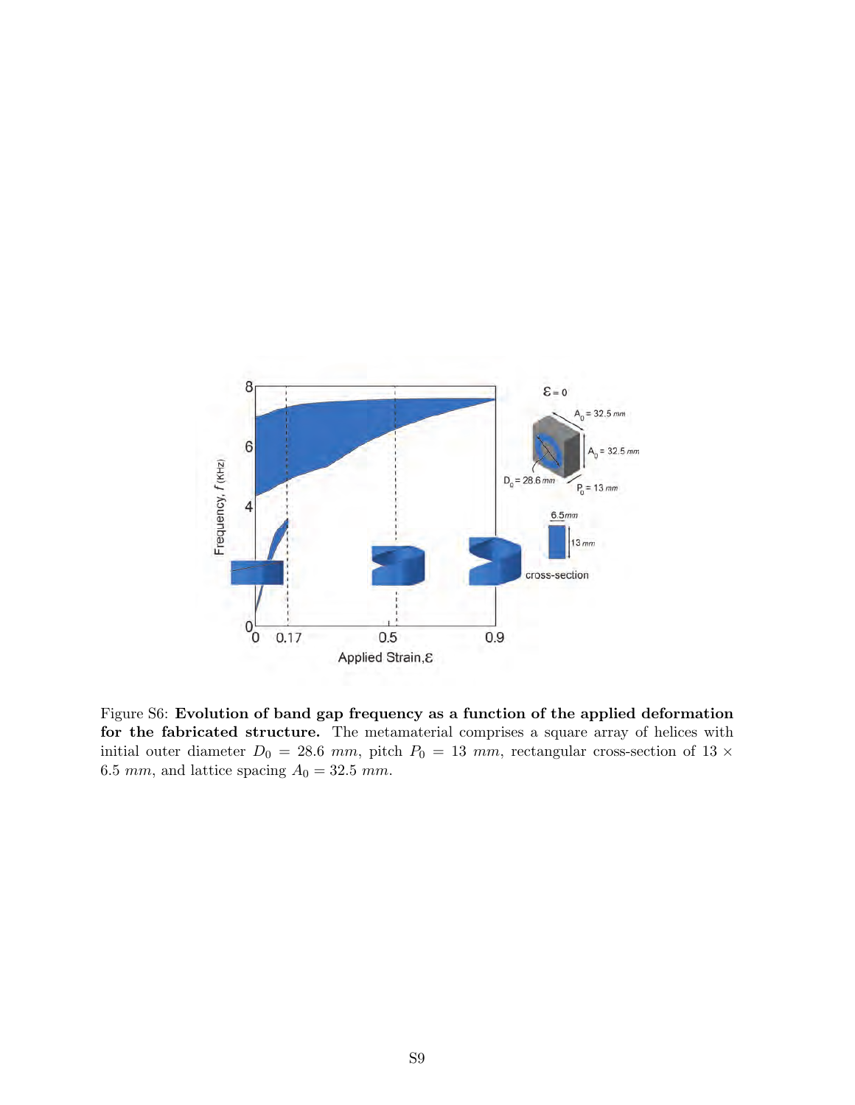

Figure S6: Evolution of band gap frequency as a function of the applied deformation for the fabricated structure. The metamaterial comprises a square array of helices with initial outer diameter  $D_0 = 28.6$  mm, pitch  $P_0 = 13$  mm, rectangular cross-section of 13  $\times$  $6.5\ mm,$  and lattice spacing  $A_0=32.5\ mm.$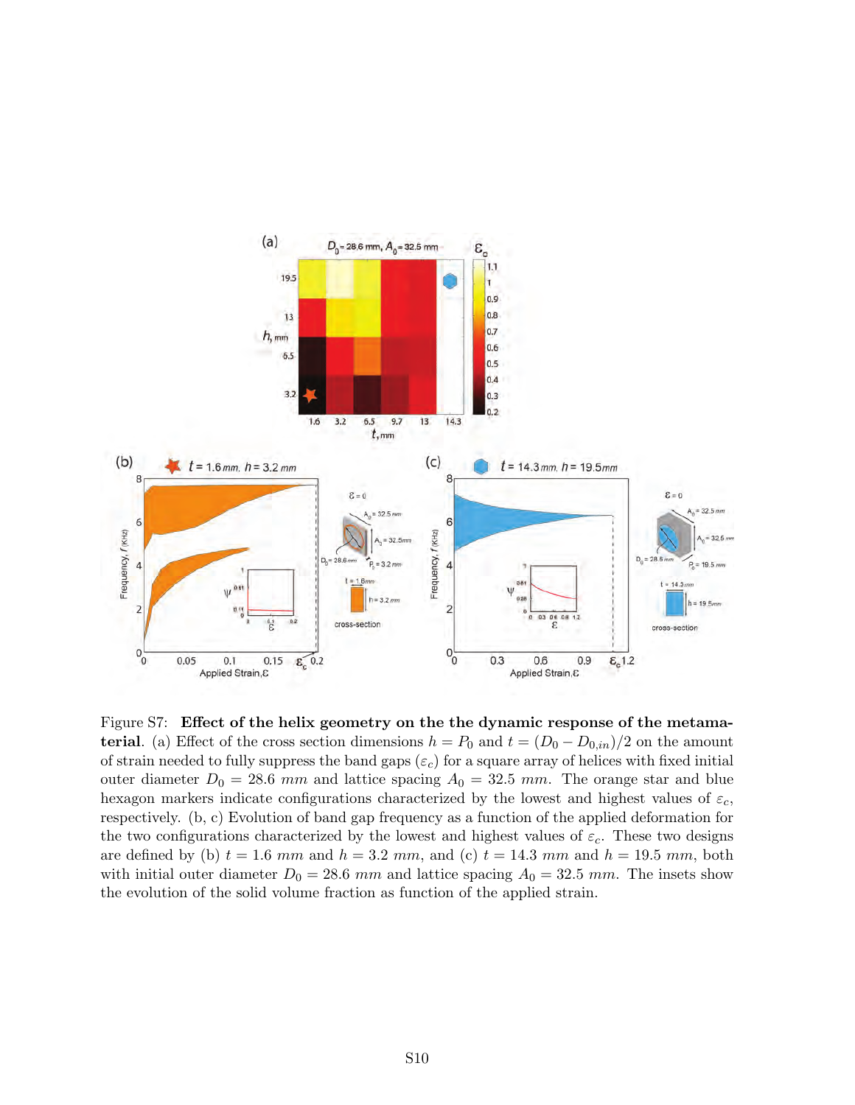

Figure S7: Effect of the helix geometry on the the dynamic response of the metama**terial.** (a) Effect of the cross section dimensions  $h = P_0$  and  $t = (D_0 - D_{0,in})/2$  on the amount of strain needed to fully suppress the band gaps  $(\varepsilon_c)$  for a square array of helices with fixed initial outer diameter  $D_0 = 28.6$  mm and lattice spacing  $A_0 = 32.5$  mm. The orange star and blue hexagon markers indicate configurations characterized by the lowest and highest values of  $\varepsilon_c$ , respectively. (b, c) Evolution of band gap frequency as a function of the applied deformation for the two configurations characterized by the lowest and highest values of  $\varepsilon_c$ . These two designs are defined by (b)  $t = 1.6$  mm and  $h = 3.2$  mm, and (c)  $t = 14.3$  mm and  $h = 19.5$  mm, both with initial outer diameter  $D_0 = 28.6$  mm and lattice spacing  $A_0 = 32.5$  mm. The insets show the evolution of the solid volume fraction as function of the applied strain.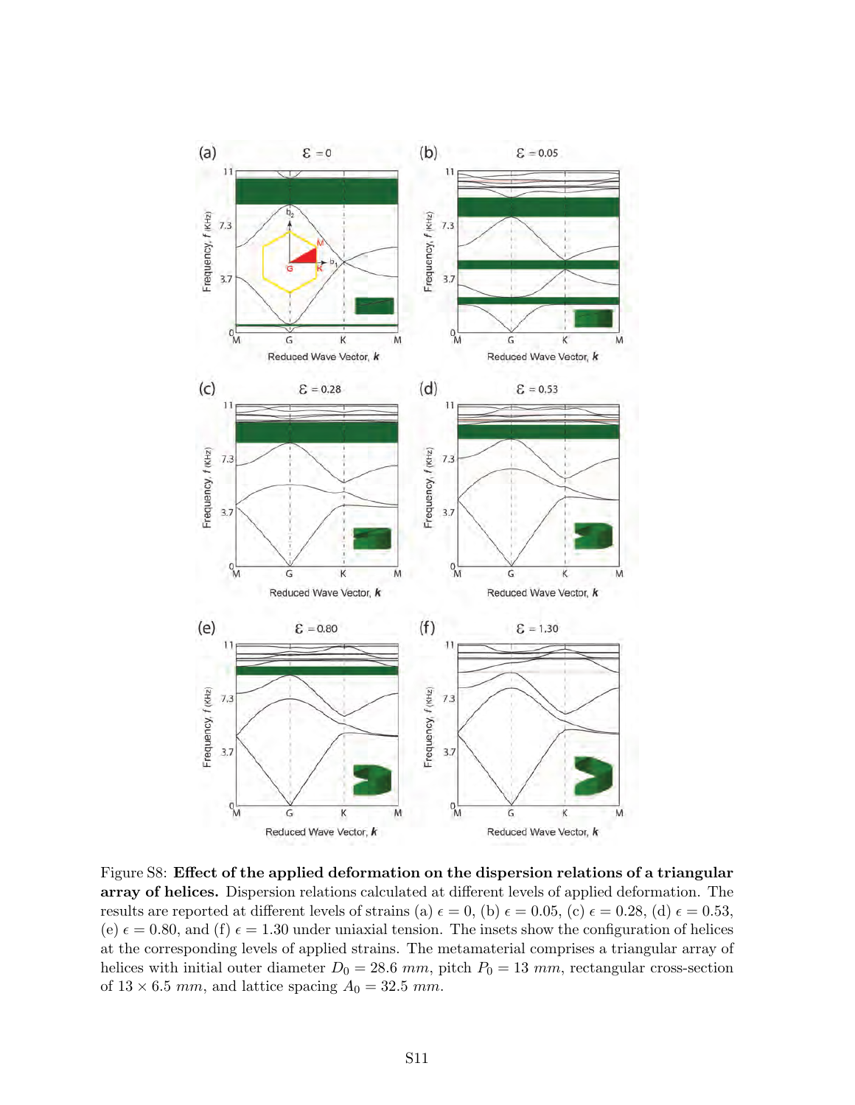

Figure S8: Effect of the applied deformation on the dispersion relations of a triangular array of helices. Dispersion relations calculated at different levels of applied deformation. The results are reported at different levels of strains (a)  $\epsilon = 0$ , (b)  $\epsilon = 0.05$ , (c)  $\epsilon = 0.28$ , (d)  $\epsilon = 0.53$ , (e)  $\epsilon = 0.80$ , and (f)  $\epsilon = 1.30$  under uniaxial tension. The insets show the configuration of helices at the corresponding levels of applied strains. The metamaterial comprises a triangular array of helices with initial outer diameter  $D_0 = 28.6$  mm, pitch  $P_0 = 13$  mm, rectangular cross-section of  $13 \times 6.5$  mm, and lattice spacing  $A_0 = 32.5$  mm.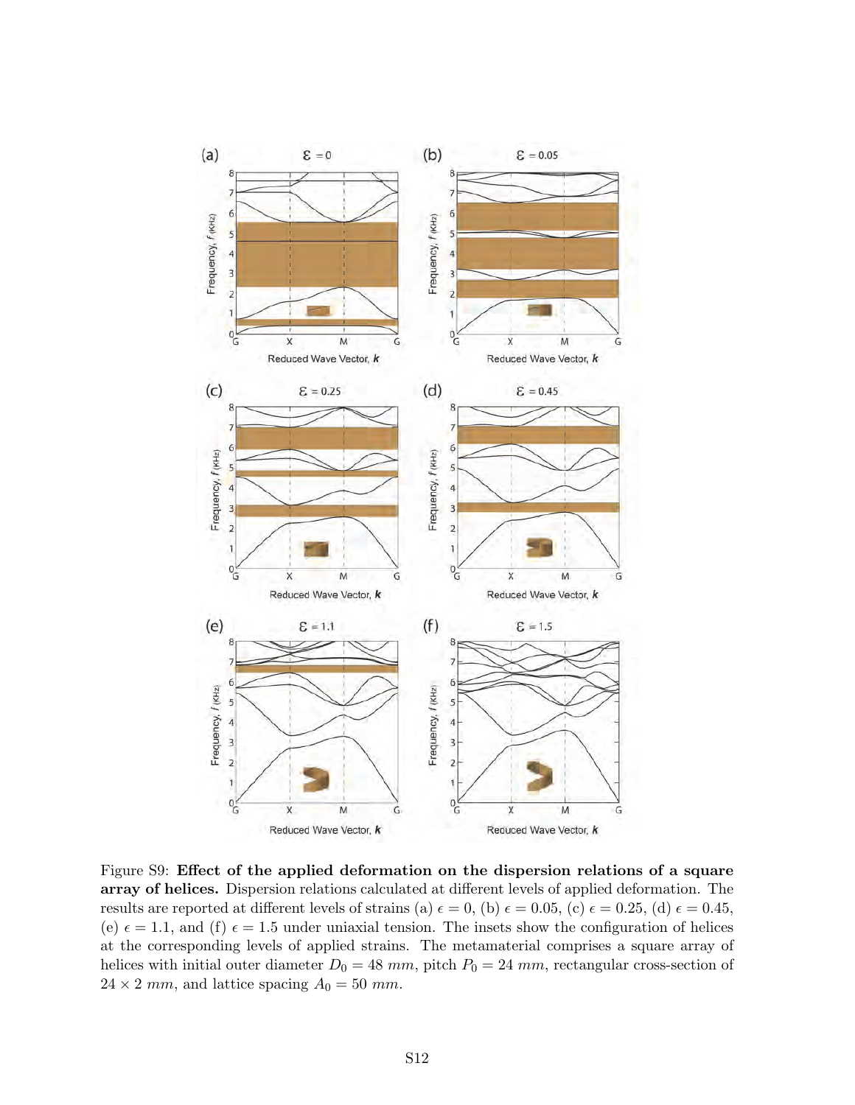

Figure S9: Effect of the applied deformation on the dispersion relations of a square array of helices. Dispersion relations calculated at different levels of applied deformation. The results are reported at different levels of strains (a)  $\epsilon = 0$ , (b)  $\epsilon = 0.05$ , (c)  $\epsilon = 0.25$ , (d)  $\epsilon = 0.45$ , (e)  $\epsilon = 1.1$ , and (f)  $\epsilon = 1.5$  under uniaxial tension. The insets show the configuration of helices at the corresponding levels of applied strains. The metamaterial comprises a square array of helices with initial outer diameter  $D_0 = 48$  mm, pitch  $P_0 = 24$  mm, rectangular cross-section of  $24 \times 2$  mm, and lattice spacing  $A_0 = 50$  mm.